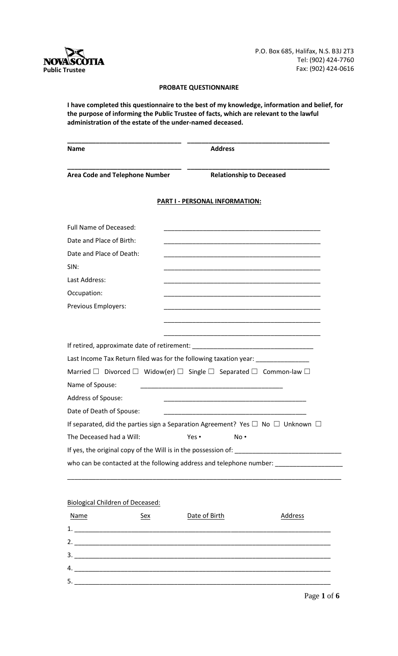

P.O. Box 685, Halifax, N.S. B3J 2T3 Tel: (902) 424-7760 Fax: (902) 424-0616

## **PROBATE QUESTIONNAIRE**

**I have completed this questionnaire to the best of my knowledge, information and belief, for the purpose of informing the Public Trustee of facts, which are relevant to the lawful administration of the estate of the under-named deceased.**

| Name                                                                                    | <b>Address</b>                                                                                                       |
|-----------------------------------------------------------------------------------------|----------------------------------------------------------------------------------------------------------------------|
| <b>Area Code and Telephone Number</b>                                                   | <b>Relationship to Deceased</b>                                                                                      |
|                                                                                         | <b>PART I - PERSONAL INFORMATION:</b>                                                                                |
| <b>Full Name of Deceased:</b>                                                           |                                                                                                                      |
| Date and Place of Birth:                                                                | <u> 1989 - Johann John Stein, markin fan it ferskearre fan it ferskearre fan it ferskearre fan it ferskearre fan</u> |
| Date and Place of Death:                                                                |                                                                                                                      |
| SIN:                                                                                    |                                                                                                                      |
| Last Address:                                                                           | <u> 1980 - Johann Barn, fransk politik (* 1950)</u>                                                                  |
| Occupation:                                                                             |                                                                                                                      |
| Previous Employers:                                                                     |                                                                                                                      |
|                                                                                         |                                                                                                                      |
|                                                                                         |                                                                                                                      |
|                                                                                         |                                                                                                                      |
|                                                                                         | Last Income Tax Return filed was for the following taxation year: ______________                                     |
|                                                                                         | Married $\Box$ Divorced $\Box$ Widow(er) $\Box$ Single $\Box$ Separated $\Box$ Common-law $\Box$                     |
| Name of Spouse:                                                                         | <u> 1989 - John Stein, Amerikaansk politiker (</u>                                                                   |
| Address of Spouse:                                                                      |                                                                                                                      |
| Date of Death of Spouse:                                                                |                                                                                                                      |
|                                                                                         | If separated, did the parties sign a Separation Agreement? Yes $\Box$ No $\Box$ Unknown $\Box$                       |
| The Deceased had a Will:                                                                | Yes •<br>No .                                                                                                        |
|                                                                                         |                                                                                                                      |
| who can be contacted at the following address and telephone number: ___________________ |                                                                                                                      |

# Biological Children of Deceased:

| Name | <u>Sex</u> | Date of Birth | Address |
|------|------------|---------------|---------|
| 1.   |            |               |         |
| 2.   |            |               |         |
| 3.   |            |               |         |
| 4.   |            |               |         |
| 5.   |            |               |         |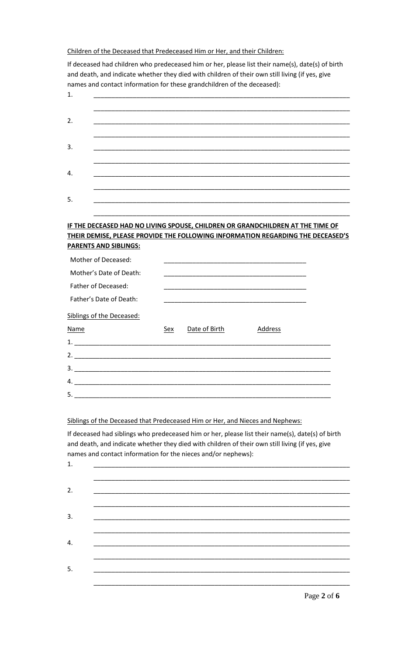Children of the Deceased that Predeceased Him or Her, and their Children:

If deceased had children who predeceased him or her, please list their name(s), date(s) of birth and death, and indicate whether they died with children of their own still living (if yes, give names and contact information for these grandchildren of the deceased):

| 2.<br>3.<br>4.<br>5.                                                                                                                                              |  |
|-------------------------------------------------------------------------------------------------------------------------------------------------------------------|--|
|                                                                                                                                                                   |  |
|                                                                                                                                                                   |  |
|                                                                                                                                                                   |  |
|                                                                                                                                                                   |  |
| IF THE DECEASED HAD NO LIVING SPOUSE, CHILDREN OR GRANDCHILDREN AT THE TIME OF<br>THEIR DEMISE, PLEASE PROVIDE THE FOLLOWING INFORMATION REGARDING THE DECEASED'S |  |
| <b>PARENTS AND SIBLINGS:</b>                                                                                                                                      |  |
| Mother of Deceased:                                                                                                                                               |  |
| Mother's Date of Death:                                                                                                                                           |  |
| Father of Deceased:                                                                                                                                               |  |
| Father's Date of Death:                                                                                                                                           |  |
| Siblings of the Deceased:                                                                                                                                         |  |
| Date of Birth<br><b>Name</b><br>Sex<br><b>Address</b>                                                                                                             |  |
|                                                                                                                                                                   |  |
|                                                                                                                                                                   |  |
|                                                                                                                                                                   |  |
|                                                                                                                                                                   |  |
|                                                                                                                                                                   |  |

Siblings of the Deceased that Predeceased Him or Her, and Nieces and Nephews:

If deceased had siblings who predeceased him or her, please list their name(s), date(s) of birth and death, and indicate whether they died with children of their own still living (if yes, give names and contact information for the nieces and/or nephews):

| $\mathbf{1}$ . |                                                                                                                      |  |
|----------------|----------------------------------------------------------------------------------------------------------------------|--|
|                |                                                                                                                      |  |
| 2.             | <u> 2000 - 2000 - 2000 - 2000 - 2000 - 2000 - 2000 - 2000 - 2000 - 2000 - 2000 - 2000 - 2000 - 2000 - 2000 - 200</u> |  |
|                |                                                                                                                      |  |
| 3.             |                                                                                                                      |  |
|                |                                                                                                                      |  |
| 4.             |                                                                                                                      |  |
|                |                                                                                                                      |  |
| 5.             |                                                                                                                      |  |
|                |                                                                                                                      |  |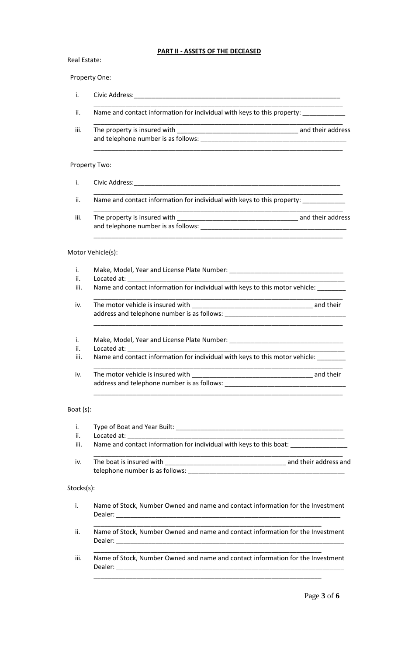# **PART II - ASSETS OF THE DECEASED**

## Real Estate:

#### Property One:

| <br>$Civ$ ic $\Delta v$<br>ີບປີ |
|---------------------------------|
|                                 |
|                                 |
|                                 |

- ii. Name and contact information for individual with keys to this property: \_\_\_\_
- \_\_\_\_\_\_\_\_\_\_\_\_\_\_\_\_\_\_\_\_\_\_\_\_\_\_\_\_\_\_\_\_\_\_\_\_\_\_\_\_\_\_\_\_\_\_\_\_\_\_\_\_\_\_\_\_\_\_\_\_\_\_\_\_\_\_\_\_\_\_ iii. The property is insured with \_\_\_\_\_\_\_\_\_\_\_\_\_\_\_\_\_\_\_\_\_\_\_\_\_\_\_\_\_\_\_\_\_\_ and their address and telephone number is as follows: \_\_\_\_\_\_\_\_\_\_\_\_\_\_\_\_\_\_\_\_\_\_\_\_\_\_\_\_\_\_\_\_\_\_\_\_\_\_\_\_\_

\_\_\_\_\_\_\_\_\_\_\_\_\_\_\_\_\_\_\_\_\_\_\_\_\_\_\_\_\_\_\_\_\_\_\_\_\_\_\_\_\_\_\_\_\_\_\_\_\_\_\_\_\_\_\_\_\_\_\_\_\_\_\_\_\_\_\_\_\_\_

\_\_\_\_\_\_\_\_\_\_\_\_\_\_\_\_\_\_\_\_\_\_\_\_\_\_\_\_\_\_\_\_\_\_\_\_\_\_\_\_\_\_\_\_\_\_\_\_\_\_\_\_\_\_\_\_\_\_\_\_\_\_\_\_\_\_\_\_\_\_

#### Property Two:

- i. Civic Address:
- ii. Name and contact information for individual with keys to this property:
- \_\_\_\_\_\_\_\_\_\_\_\_\_\_\_\_\_\_\_\_\_\_\_\_\_\_\_\_\_\_\_\_\_\_\_\_\_\_\_\_\_\_\_\_\_\_\_\_\_\_\_\_\_\_\_\_\_\_\_\_\_\_\_\_\_\_\_\_\_\_ iii. The property is insured with \_\_\_\_\_\_\_\_\_\_\_\_\_\_\_\_\_\_\_\_\_\_\_\_\_\_\_\_\_\_\_\_\_\_ and their address and telephone number is as follows: \_\_\_\_\_\_\_\_\_\_\_\_\_\_\_\_\_\_\_\_\_\_\_\_\_\_\_\_\_\_\_\_\_\_\_\_\_\_\_\_\_

\_\_\_\_\_\_\_\_\_\_\_\_\_\_\_\_\_\_\_\_\_\_\_\_\_\_\_\_\_\_\_\_\_\_\_\_\_\_\_\_\_\_\_\_\_\_\_\_\_\_\_\_\_\_\_\_\_\_\_\_\_\_\_\_\_\_\_\_\_\_

## Motor Vehicle(s):

- i. Make, Model, Year and License Plate Number: \_\_\_\_\_\_\_\_\_\_\_\_\_\_\_\_\_\_\_\_\_\_\_\_\_\_\_\_\_\_\_\_\_
- ii. Located at:
- iii. Name and contact information for individual with keys to this motor vehicle:
- \_\_\_\_\_\_\_\_\_\_\_\_\_\_\_\_\_\_\_\_\_\_\_\_\_\_\_\_\_\_\_\_\_\_\_\_\_\_\_\_\_\_\_\_\_\_\_\_\_\_\_\_\_\_\_\_\_\_\_\_\_\_\_\_\_\_\_\_\_\_ iv. The motor vehicle is insured with \_\_\_\_\_\_\_\_\_\_\_\_\_\_\_\_\_\_\_\_\_\_\_\_\_\_\_\_\_\_\_\_\_\_ and their address and telephone number is as follows:

\_\_\_\_\_\_\_\_\_\_\_\_\_\_\_\_\_\_\_\_\_\_\_\_\_\_\_\_\_\_\_\_\_\_\_\_\_\_\_\_\_\_\_\_\_\_\_\_\_\_\_\_\_\_\_\_\_\_\_\_\_\_\_\_\_\_\_\_\_\_

## i. Make, Model, Year and License Plate Number: \_\_\_\_\_\_\_\_\_\_\_\_\_\_\_\_\_\_\_\_\_\_\_\_\_\_\_\_\_\_\_\_\_

- ii. Located at:
- iii. Name and contact information for individual with keys to this motor vehicle:
- \_\_\_\_\_\_\_\_\_\_\_\_\_\_\_\_\_\_\_\_\_\_\_\_\_\_\_\_\_\_\_\_\_\_\_\_\_\_\_\_\_\_\_\_\_\_\_\_\_\_\_\_\_\_\_\_\_\_\_\_\_\_\_\_\_\_\_\_\_\_ iv. The motor vehicle is insured with \_\_\_\_\_\_\_\_\_\_\_\_\_\_\_\_\_\_\_\_\_\_\_\_\_\_\_\_\_\_\_\_\_\_ and their address and telephone number is as follows:

\_\_\_\_\_\_\_\_\_\_\_\_\_\_\_\_\_\_\_\_\_\_\_\_\_\_\_\_\_\_\_\_\_\_\_\_\_\_\_\_\_\_\_\_\_\_\_\_\_\_\_\_\_\_\_\_\_\_\_\_\_\_\_\_\_\_\_\_\_\_

#### Boat (s):

- i. Type of Boat and Year Built: \_\_\_\_\_\_\_\_\_\_\_\_\_\_\_\_\_\_\_\_\_\_\_\_\_\_\_\_\_\_\_\_\_\_\_\_\_\_\_\_\_\_\_\_\_\_\_ ii. Located at:
- iii. Name and contact information for individual with keys to this boat:
- \_\_\_\_\_\_\_\_\_\_\_\_\_\_\_\_\_\_\_\_\_\_\_\_\_\_\_\_\_\_\_\_\_\_\_\_\_\_\_\_\_\_\_\_\_\_\_\_\_\_\_\_\_\_\_\_\_\_\_\_\_\_\_\_\_\_\_\_\_\_ iv. The boat is insured with the state of the state of the state and their address and telephone number is as follows:

### Stocks(s):

- i. Name of Stock, Number Owned and name and contact information for the Investment Dealer:
- ii. Name of Stock, Number Owned and name and contact information for the Investment Dealer:

\_\_\_\_\_\_\_\_\_\_\_\_\_\_\_\_\_\_\_\_\_\_\_\_\_\_\_\_\_\_\_\_\_\_\_\_\_\_\_\_\_\_\_\_\_\_\_\_\_\_\_\_\_\_\_\_\_\_\_\_\_\_\_\_

\_\_\_\_\_\_\_\_\_\_\_\_\_\_\_\_\_\_\_\_\_\_\_\_\_\_\_\_\_\_\_\_\_\_\_\_\_\_\_\_\_\_\_\_\_\_\_\_\_\_\_\_\_\_\_\_\_\_\_\_\_\_\_\_ iii. Name of Stock, Number Owned and name and contact information for the Investment Dealer:

\_\_\_\_\_\_\_\_\_\_\_\_\_\_\_\_\_\_\_\_\_\_\_\_\_\_\_\_\_\_\_\_\_\_\_\_\_\_\_\_\_\_\_\_\_\_\_\_\_\_\_\_\_\_\_\_\_\_\_\_\_\_\_\_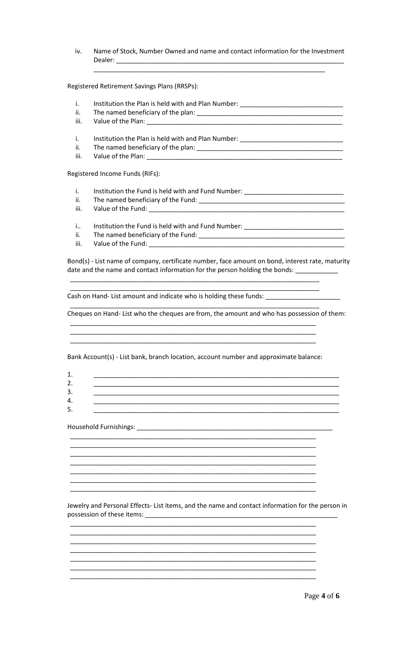Name of Stock, Number Owned and name and contact information for the Investment iv. 

Registered Retirement Savings Plans (RRSPs):

- i. Institution the Plan is held with and Plan Number: \_\_\_\_\_\_\_\_\_\_\_\_\_\_\_\_\_\_\_\_\_\_\_\_\_\_\_\_\_ ii. iii. Value of the Plan: \_\_\_\_\_\_\_\_\_\_\_ Institution the Plan is held with and Plan Number: \_\_\_\_\_\_\_\_\_\_\_\_\_\_\_\_\_\_\_\_\_\_\_\_\_\_\_\_\_ i. ii. iii. Value of the Plan: \_\_\_\_\_ Registered Income Funds (RIFs):
	- i.
	- ii. iii. Value of the Fund: \_\_\_\_\_\_\_\_\_\_\_\_\_
	- Institution the Fund is held with and Fund Number: \_\_\_\_\_\_\_\_\_\_\_\_\_\_\_\_\_\_\_\_\_\_\_\_\_\_\_\_\_  $\mathbf{i}$ .
	- ii. The named beneficiary of the Fund: \_\_\_\_\_\_\_\_\_\_\_\_\_\_\_
	- iii. Value of the Fund: \_\_\_\_\_\_\_\_\_\_\_\_\_

Bond(s) - List name of company, certificate number, face amount on bond, interest rate, maturity date and the name and contact information for the person holding the bonds: \_\_\_\_\_\_\_\_

Cash on Hand-List amount and indicate who is holding these funds: \_\_\_\_\_\_\_\_\_

Cheques on Hand- List who the cheques are from, the amount and who has possession of them:

Bank Account(s) - List bank, branch location, account number and approximate balance:

Jewelry and Personal Effects- List items, and the name and contact information for the person in possession of these items: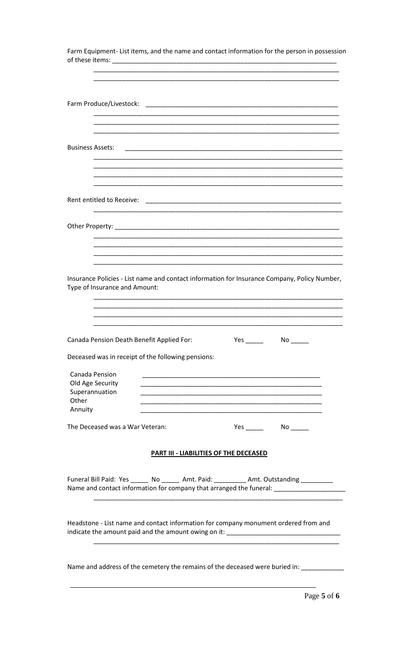| Farm Equipment- List items, and the name and contact information for the person in possession                                                                                      |                                               |                                                                                                                       |  |
|------------------------------------------------------------------------------------------------------------------------------------------------------------------------------------|-----------------------------------------------|-----------------------------------------------------------------------------------------------------------------------|--|
|                                                                                                                                                                                    |                                               |                                                                                                                       |  |
|                                                                                                                                                                                    |                                               |                                                                                                                       |  |
|                                                                                                                                                                                    |                                               |                                                                                                                       |  |
|                                                                                                                                                                                    |                                               |                                                                                                                       |  |
| <b>Business Assets:</b>                                                                                                                                                            |                                               |                                                                                                                       |  |
|                                                                                                                                                                                    |                                               |                                                                                                                       |  |
|                                                                                                                                                                                    |                                               |                                                                                                                       |  |
|                                                                                                                                                                                    |                                               |                                                                                                                       |  |
|                                                                                                                                                                                    |                                               |                                                                                                                       |  |
|                                                                                                                                                                                    |                                               |                                                                                                                       |  |
|                                                                                                                                                                                    |                                               |                                                                                                                       |  |
| Insurance Policies - List name and contact information for Insurance Company, Policy Number,<br>Type of Insurance and Amount:                                                      |                                               |                                                                                                                       |  |
|                                                                                                                                                                                    |                                               |                                                                                                                       |  |
| Canada Pension Death Benefit Applied For:                                                                                                                                          |                                               |                                                                                                                       |  |
| Deceased was in receipt of the following pensions:                                                                                                                                 |                                               |                                                                                                                       |  |
| Canada Pension<br>Old Age Security                                                                                                                                                 |                                               |                                                                                                                       |  |
| Superannuation<br>Other                                                                                                                                                            |                                               | <u> 1989 - Johann John Stoff, deutscher Stoffen und der Stoffen und der Stoffen und der Stoffen und der Stoffen u</u> |  |
| Annuity<br>The Deceased was a War Veteran:                                                                                                                                         |                                               |                                                                                                                       |  |
|                                                                                                                                                                                    |                                               |                                                                                                                       |  |
|                                                                                                                                                                                    | <b>PART III - LIABILITIES OF THE DECEASED</b> |                                                                                                                       |  |
| Funeral Bill Paid: Yes ______ No ______ Amt. Paid: _________ Amt. Outstanding _________<br>Name and contact information for company that arranged the funeral: ___________________ |                                               |                                                                                                                       |  |
| Headstone - List name and contact information for company monument ordered from and                                                                                                |                                               |                                                                                                                       |  |
|                                                                                                                                                                                    |                                               |                                                                                                                       |  |
| Name and address of the cemetery the remains of the deceased were buried in: ___________                                                                                           |                                               |                                                                                                                       |  |